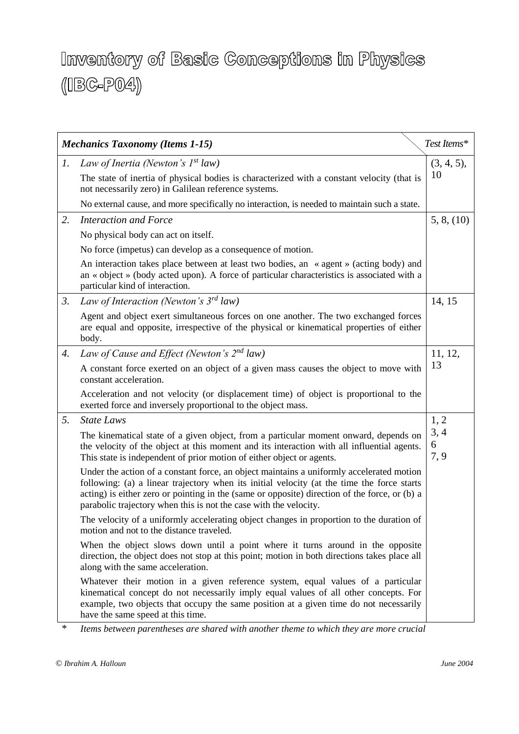## Inventory of Basic Conceptions in Physics  $(\text{IBG-PO4})$

| Test Items*<br><b>Mechanics Taxonomy (Items 1-15)</b> |                                                                                                                                                                                                                                                                                                                                                              |                   |  |
|-------------------------------------------------------|--------------------------------------------------------------------------------------------------------------------------------------------------------------------------------------------------------------------------------------------------------------------------------------------------------------------------------------------------------------|-------------------|--|
| 1.                                                    | Law of Inertia (Newton's $I^{st}$ law)                                                                                                                                                                                                                                                                                                                       | (3, 4, 5),        |  |
|                                                       | The state of inertia of physical bodies is characterized with a constant velocity (that is<br>not necessarily zero) in Galilean reference systems.                                                                                                                                                                                                           | 10                |  |
|                                                       | No external cause, and more specifically no interaction, is needed to maintain such a state.                                                                                                                                                                                                                                                                 |                   |  |
| 2.                                                    | Interaction and Force                                                                                                                                                                                                                                                                                                                                        | 5, 8, (10)        |  |
|                                                       | No physical body can act on itself.                                                                                                                                                                                                                                                                                                                          |                   |  |
|                                                       | No force (impetus) can develop as a consequence of motion.                                                                                                                                                                                                                                                                                                   |                   |  |
|                                                       | An interaction takes place between at least two bodies, an «agent» (acting body) and<br>an « object » (body acted upon). A force of particular characteristics is associated with a<br>particular kind of interaction.                                                                                                                                       |                   |  |
| $\mathfrak{Z}$ .                                      | Law of Interaction (Newton's 3rd law)                                                                                                                                                                                                                                                                                                                        | 14, 15            |  |
|                                                       | Agent and object exert simultaneous forces on one another. The two exchanged forces<br>are equal and opposite, irrespective of the physical or kinematical properties of either<br>body.                                                                                                                                                                     |                   |  |
| 4.                                                    | Law of Cause and Effect (Newton's 2nd law)                                                                                                                                                                                                                                                                                                                   | 11, 12,           |  |
|                                                       | A constant force exerted on an object of a given mass causes the object to move with<br>constant acceleration.                                                                                                                                                                                                                                               | 13                |  |
|                                                       | Acceleration and not velocity (or displacement time) of object is proportional to the<br>exerted force and inversely proportional to the object mass.                                                                                                                                                                                                        |                   |  |
| 5.                                                    | <b>State Laws</b>                                                                                                                                                                                                                                                                                                                                            | 1, 2              |  |
|                                                       | The kinematical state of a given object, from a particular moment onward, depends on<br>the velocity of the object at this moment and its interaction with all influential agents.<br>This state is independent of prior motion of either object or agents.                                                                                                  | 3, 4<br>6<br>7, 9 |  |
|                                                       | Under the action of a constant force, an object maintains a uniformly accelerated motion<br>following: (a) a linear trajectory when its initial velocity (at the time the force starts<br>acting) is either zero or pointing in the (same or opposite) direction of the force, or (b) a<br>parabolic trajectory when this is not the case with the velocity. |                   |  |
|                                                       | The velocity of a uniformly accelerating object changes in proportion to the duration of<br>motion and not to the distance traveled.                                                                                                                                                                                                                         |                   |  |
|                                                       | When the object slows down until a point where it turns around in the opposite<br>direction, the object does not stop at this point; motion in both directions takes place all<br>along with the same acceleration.                                                                                                                                          |                   |  |
|                                                       | Whatever their motion in a given reference system, equal values of a particular<br>kinematical concept do not necessarily imply equal values of all other concepts. For<br>example, two objects that occupy the same position at a given time do not necessarily<br>have the same speed at this time.                                                        |                   |  |

\* *Items between parentheses are shared with another theme to which they are more crucial*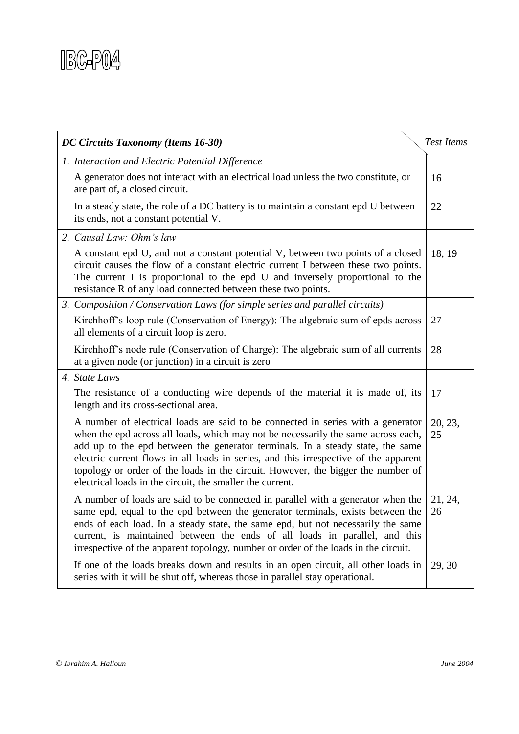

| DC Circuits Taxonomy (Items 16-30)<br><b>Test Items</b> |                                                                                                                                                                                                                                                                                                                                                                                                                                                                                                  |               |  |
|---------------------------------------------------------|--------------------------------------------------------------------------------------------------------------------------------------------------------------------------------------------------------------------------------------------------------------------------------------------------------------------------------------------------------------------------------------------------------------------------------------------------------------------------------------------------|---------------|--|
|                                                         | 1. Interaction and Electric Potential Difference                                                                                                                                                                                                                                                                                                                                                                                                                                                 |               |  |
|                                                         | A generator does not interact with an electrical load unless the two constitute, or<br>are part of, a closed circuit.                                                                                                                                                                                                                                                                                                                                                                            | 16            |  |
|                                                         | In a steady state, the role of a DC battery is to maintain a constant epd U between<br>its ends, not a constant potential V.                                                                                                                                                                                                                                                                                                                                                                     | 22            |  |
|                                                         | 2. Causal Law: Ohm's law                                                                                                                                                                                                                                                                                                                                                                                                                                                                         |               |  |
|                                                         | A constant epd U, and not a constant potential V, between two points of a closed<br>circuit causes the flow of a constant electric current I between these two points.<br>The current I is proportional to the epd U and inversely proportional to the<br>resistance R of any load connected between these two points.                                                                                                                                                                           | 18, 19        |  |
|                                                         | 3. Composition / Conservation Laws (for simple series and parallel circuits)                                                                                                                                                                                                                                                                                                                                                                                                                     |               |  |
|                                                         | Kirchhoff's loop rule (Conservation of Energy): The algebraic sum of epds across<br>all elements of a circuit loop is zero.                                                                                                                                                                                                                                                                                                                                                                      | 27            |  |
|                                                         | Kirchhoff's node rule (Conservation of Charge): The algebraic sum of all currents<br>at a given node (or junction) in a circuit is zero                                                                                                                                                                                                                                                                                                                                                          | 28            |  |
|                                                         | 4. State Laws                                                                                                                                                                                                                                                                                                                                                                                                                                                                                    |               |  |
|                                                         | The resistance of a conducting wire depends of the material it is made of, its<br>length and its cross-sectional area.                                                                                                                                                                                                                                                                                                                                                                           | 17            |  |
|                                                         | A number of electrical loads are said to be connected in series with a generator<br>when the epd across all loads, which may not be necessarily the same across each,<br>add up to the epd between the generator terminals. In a steady state, the same<br>electric current flows in all loads in series, and this irrespective of the apparent<br>topology or order of the loads in the circuit. However, the bigger the number of<br>electrical loads in the circuit, the smaller the current. | 20, 23,<br>25 |  |
|                                                         | A number of loads are said to be connected in parallel with a generator when the<br>same epd, equal to the epd between the generator terminals, exists between the<br>ends of each load. In a steady state, the same epd, but not necessarily the same<br>current, is maintained between the ends of all loads in parallel, and this<br>irrespective of the apparent topology, number or order of the loads in the circuit.                                                                      | 21, 24,<br>26 |  |
|                                                         | If one of the loads breaks down and results in an open circuit, all other loads in<br>series with it will be shut off, whereas those in parallel stay operational.                                                                                                                                                                                                                                                                                                                               | 29, 30        |  |